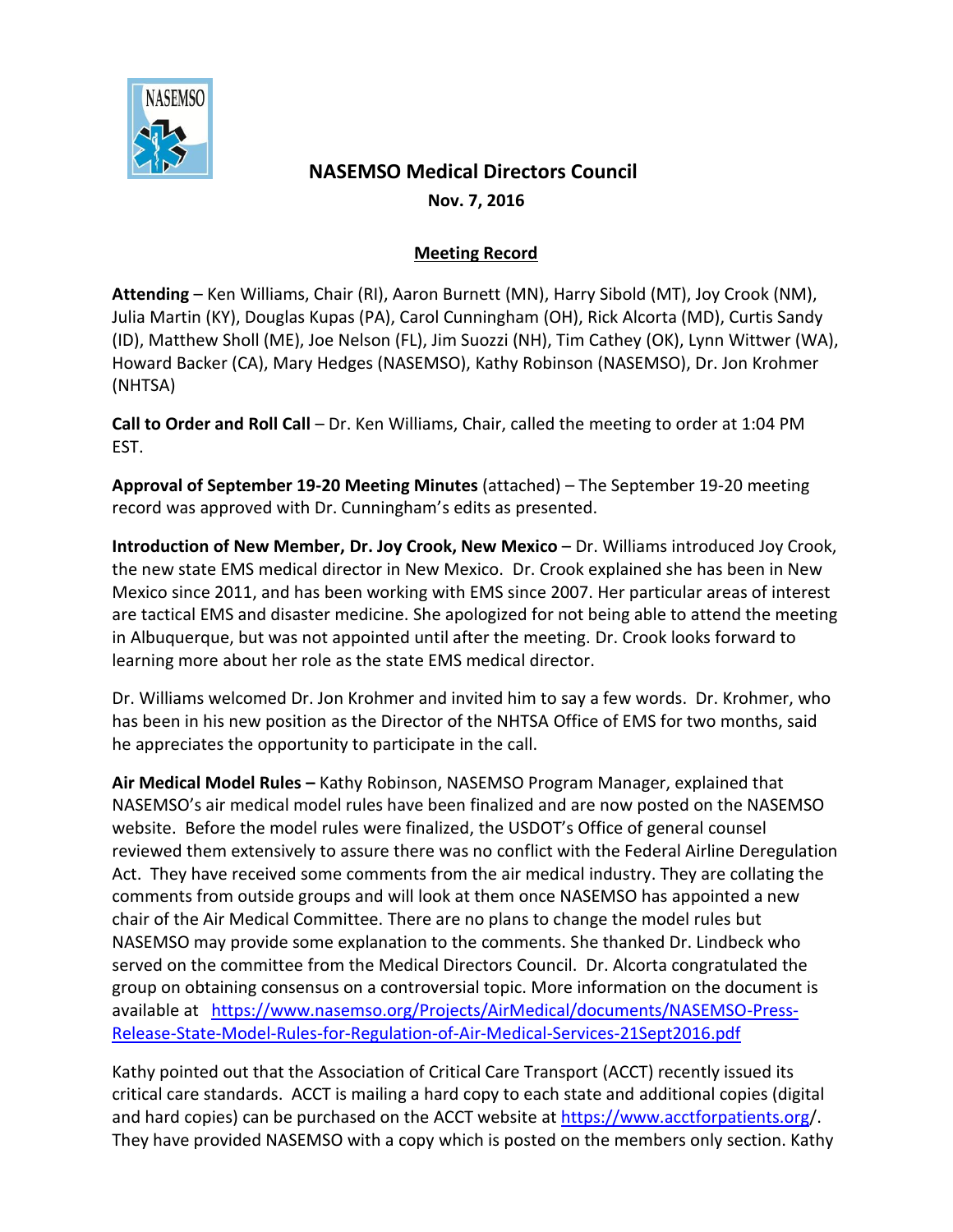

## **NASEMSO Medical Directors Council Nov. 7, 2016**

## **Meeting Record**

**Attending** – Ken Williams, Chair (RI), Aaron Burnett (MN), Harry Sibold (MT), Joy Crook (NM), Julia Martin (KY), Douglas Kupas (PA), Carol Cunningham (OH), Rick Alcorta (MD), Curtis Sandy (ID), Matthew Sholl (ME), Joe Nelson (FL), Jim Suozzi (NH), Tim Cathey (OK), Lynn Wittwer (WA), Howard Backer (CA), Mary Hedges (NASEMSO), Kathy Robinson (NASEMSO), Dr. Jon Krohmer (NHTSA)

**Call to Order and Roll Call** – Dr. Ken Williams, Chair, called the meeting to order at 1:04 PM EST.

**Approval of September 19-20 Meeting Minutes** (attached) – The September 19-20 meeting record was approved with Dr. Cunningham's edits as presented.

**Introduction of New Member, Dr. Joy Crook, New Mexico - Dr. Williams introduced Joy Crook,** the new state EMS medical director in New Mexico. Dr. Crook explained she has been in New Mexico since 2011, and has been working with EMS since 2007. Her particular areas of interest are tactical EMS and disaster medicine. She apologized for not being able to attend the meeting in Albuquerque, but was not appointed until after the meeting. Dr. Crook looks forward to learning more about her role as the state EMS medical director.

Dr. Williams welcomed Dr. Jon Krohmer and invited him to say a few words. Dr. Krohmer, who has been in his new position as the Director of the NHTSA Office of EMS for two months, said he appreciates the opportunity to participate in the call.

**Air Medical Model Rules –** Kathy Robinson, NASEMSO Program Manager, explained that NASEMSO's air medical model rules have been finalized and are now posted on the NASEMSO website. Before the model rules were finalized, the USDOT's Office of general counsel reviewed them extensively to assure there was no conflict with the Federal Airline Deregulation Act. They have received some comments from the air medical industry. They are collating the comments from outside groups and will look at them once NASEMSO has appointed a new chair of the Air Medical Committee. There are no plans to change the model rules but NASEMSO may provide some explanation to the comments. She thanked Dr. Lindbeck who served on the committee from the Medical Directors Council. Dr. Alcorta congratulated the group on obtaining consensus on a controversial topic. More information on the document is available at [https://www.nasemso.org/Projects/AirMedical/documents/NASEMSO-Press-](https://www.nasemso.org/Projects/AirMedical/documents/NASEMSO-Press-Release-State-Model-Rules-for-Regulation-of-Air-Medical-Services-21Sept2016.pdf)[Release-State-Model-Rules-for-Regulation-of-Air-Medical-Services-21Sept2016.pdf](https://www.nasemso.org/Projects/AirMedical/documents/NASEMSO-Press-Release-State-Model-Rules-for-Regulation-of-Air-Medical-Services-21Sept2016.pdf)

Kathy pointed out that the Association of Critical Care Transport (ACCT) recently issued its critical care standards. ACCT is mailing a hard copy to each state and additional copies (digital and hard copies) can be purchased on the ACCT website at<https://www.acctforpatients.org/>. They have provided NASEMSO with a copy which is posted on the members only section. Kathy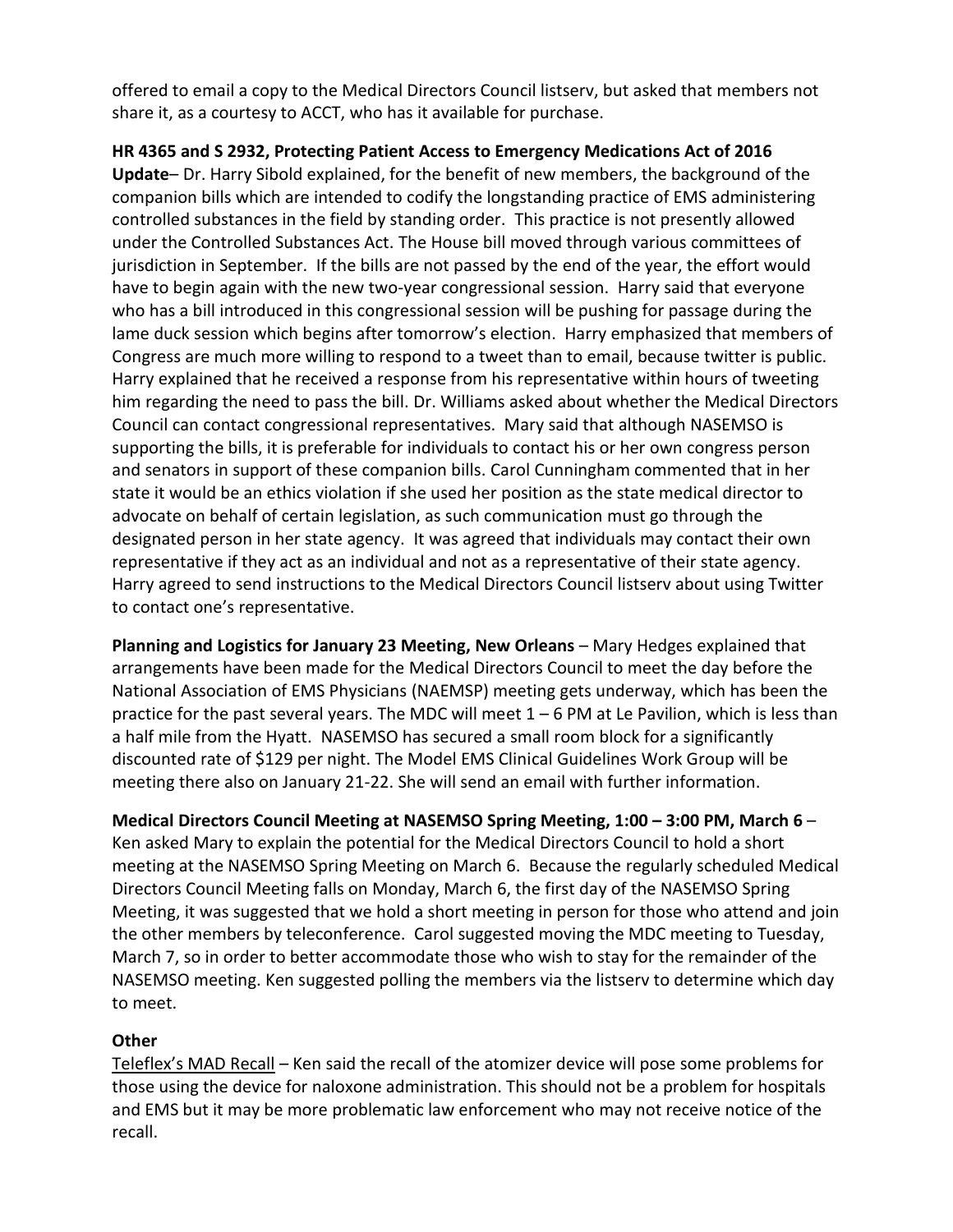offered to email a copy to the Medical Directors Council listserv, but asked that members not share it, as a courtesy to ACCT, who has it available for purchase.

**HR 4365 and S 2932, Protecting Patient Access to Emergency Medications Act of 2016 Update**– Dr. Harry Sibold explained, for the benefit of new members, the background of the companion bills which are intended to codify the longstanding practice of EMS administering controlled substances in the field by standing order. This practice is not presently allowed under the Controlled Substances Act. The House bill moved through various committees of jurisdiction in September. If the bills are not passed by the end of the year, the effort would have to begin again with the new two-year congressional session. Harry said that everyone who has a bill introduced in this congressional session will be pushing for passage during the lame duck session which begins after tomorrow's election. Harry emphasized that members of Congress are much more willing to respond to a tweet than to email, because twitter is public. Harry explained that he received a response from his representative within hours of tweeting him regarding the need to pass the bill. Dr. Williams asked about whether the Medical Directors Council can contact congressional representatives. Mary said that although NASEMSO is supporting the bills, it is preferable for individuals to contact his or her own congress person and senators in support of these companion bills. Carol Cunningham commented that in her state it would be an ethics violation if she used her position as the state medical director to advocate on behalf of certain legislation, as such communication must go through the designated person in her state agency. It was agreed that individuals may contact their own representative if they act as an individual and not as a representative of their state agency. Harry agreed to send instructions to the Medical Directors Council listserv about using Twitter to contact one's representative.

**Planning and Logistics for January 23 Meeting, New Orleans** – Mary Hedges explained that arrangements have been made for the Medical Directors Council to meet the day before the National Association of EMS Physicians (NAEMSP) meeting gets underway, which has been the practice for the past several years. The MDC will meet 1 – 6 PM at Le Pavilion, which is less than a half mile from the Hyatt. NASEMSO has secured a small room block for a significantly discounted rate of \$129 per night. The Model EMS Clinical Guidelines Work Group will be meeting there also on January 21-22. She will send an email with further information.

**Medical Directors Council Meeting at NASEMSO Spring Meeting, 1:00 – 3:00 PM, March 6** – Ken asked Mary to explain the potential for the Medical Directors Council to hold a short meeting at the NASEMSO Spring Meeting on March 6. Because the regularly scheduled Medical Directors Council Meeting falls on Monday, March 6, the first day of the NASEMSO Spring Meeting, it was suggested that we hold a short meeting in person for those who attend and join the other members by teleconference. Carol suggested moving the MDC meeting to Tuesday, March 7, so in order to better accommodate those who wish to stay for the remainder of the NASEMSO meeting. Ken suggested polling the members via the listserv to determine which day to meet.

## **Other**

Teleflex's MAD Recall – Ken said the recall of the atomizer device will pose some problems for those using the device for naloxone administration. This should not be a problem for hospitals and EMS but it may be more problematic law enforcement who may not receive notice of the recall.